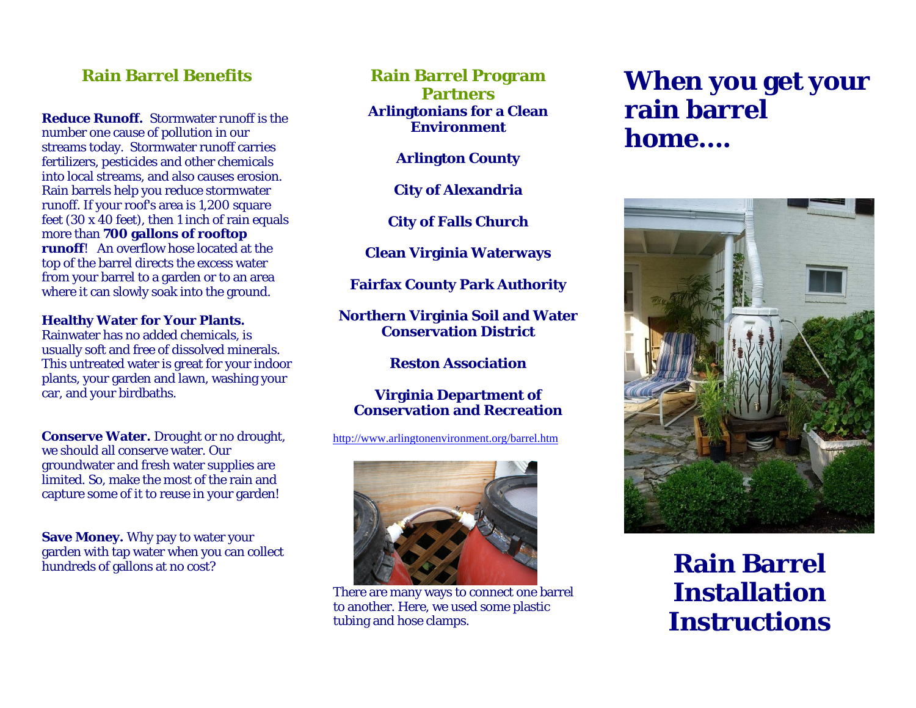## **Rain Barrel Benefits**

**Reduce Runoff.** Stormwater runoff is the number one cause of pollution in our streams today. Stormwater runoff carries fertilizers, pesticides and other chemicals into local streams, and also causes erosion. Rain barrels help you reduce stormwater runoff. If your roof's area is 1,200 square feet (30 x 40 feet), then 1 inch of rain equals more than **700 gallons of rooftop runoff**! An overflow hose located at the top of the barrel directs the excess water from your barrel to a garden or to an area where it can slowly soak into the ground.

**Healthy Water for Your Plants.** 

Rainwater has no added chemicals, is usually soft and free of dissolved minerals. This untreated water is great for your indoor plants, your garden and lawn, washing your car, and your birdbaths.

**Conserve Water.** Drought or no drought, we should all conserve water. Our groundwater and fresh water supplies are limited. So, make the most of the rain and capture some of it to reuse in your garden!

**Save Money.** Why pay to water your garden with tap water when you can collect hundreds of gallons at no cost?

**Rain Barrel Program Partners Arlingtonians for a Clean Environment** 

**Arlington County** 

**City of Alexandria** 

**City of Falls Church** 

**Clean Virginia Waterways** 

**Fairfax County Park Authority** 

**Northern Virginia Soil and Water Conservation District** 

**Reston Association** 

**Virginia Department of Conservation and Recreation** 

http://www.arlingtonenvironment.org/barrel.htm



There are many ways to connect one barrel to another. Here, we used some plastic tubing and hose clamps.

## **When you get your rain barrel home….**



**Rain Barrel Installation Instructions**